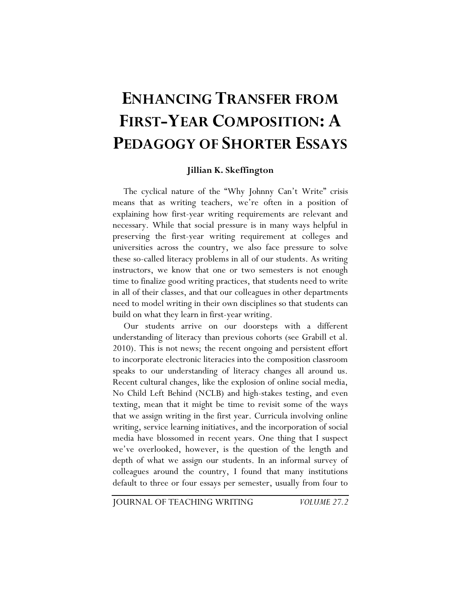# **ENHANCING TRANSFER FROM FIRST-YEAR COMPOSITION: A PEDAGOGY OF SHORTER ESSAYS**

### **Jillian K. Skeffington**

The cyclical nature of the "Why Johnny Can't Write" crisis means that as writing teachers, we're often in a position of explaining how first-year writing requirements are relevant and necessary. While that social pressure is in many ways helpful in preserving the first-year writing requirement at colleges and universities across the country, we also face pressure to solve these so-called literacy problems in all of our students. As writing instructors, we know that one or two semesters is not enough time to finalize good writing practices, that students need to write in all of their classes, and that our colleagues in other departments need to model writing in their own disciplines so that students can build on what they learn in first-year writing.

Our students arrive on our doorsteps with a different understanding of literacy than previous cohorts (see Grabill et al. 2010). This is not news; the recent ongoing and persistent effort to incorporate electronic literacies into the composition classroom speaks to our understanding of literacy changes all around us. Recent cultural changes, like the explosion of online social media, No Child Left Behind (NCLB) and high-stakes testing, and even texting, mean that it might be time to revisit some of the ways that we assign writing in the first year. Curricula involving online writing, service learning initiatives, and the incorporation of social media have blossomed in recent years. One thing that I suspect we've overlooked, however, is the question of the length and depth of what we assign our students. In an informal survey of colleagues around the country, I found that many institutions default to three or four essays per semester, usually from four to

JOURNAL OF TEACHING WRITING *VOLUME 27.2*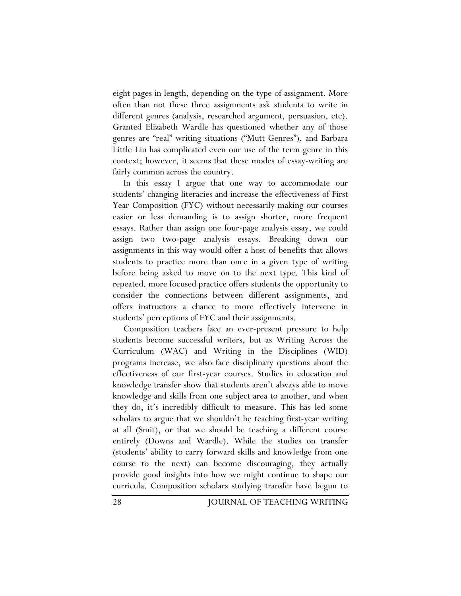eight pages in length, depending on the type of assignment. More often than not these three assignments ask students to write in different genres (analysis, researched argument, persuasion, etc). Granted Elizabeth Wardle has questioned whether any of those genres are "real" writing situations ("Mutt Genres"), and Barbara Little Liu has complicated even our use of the term genre in this context; however, it seems that these modes of essay-writing are fairly common across the country.

In this essay I argue that one way to accommodate our students' changing literacies and increase the effectiveness of First Year Composition (FYC) without necessarily making our courses easier or less demanding is to assign shorter, more frequent essays. Rather than assign one four-page analysis essay, we could assign two two-page analysis essays. Breaking down our assignments in this way would offer a host of benefits that allows students to practice more than once in a given type of writing before being asked to move on to the next type. This kind of repeated, more focused practice offers students the opportunity to consider the connections between different assignments, and offers instructors a chance to more effectively intervene in students' perceptions of FYC and their assignments.

Composition teachers face an ever-present pressure to help students become successful writers, but as Writing Across the Curriculum (WAC) and Writing in the Disciplines (WID) programs increase, we also face disciplinary questions about the effectiveness of our first-year courses. Studies in education and knowledge transfer show that students aren't always able to move knowledge and skills from one subject area to another, and when they do, it's incredibly difficult to measure. This has led some scholars to argue that we shouldn't be teaching first-year writing at all (Smit), or that we should be teaching a different course entirely (Downs and Wardle). While the studies on transfer (students' ability to carry forward skills and knowledge from one course to the next) can become discouraging, they actually provide good insights into how we might continue to shape our curricula. Composition scholars studying transfer have begun to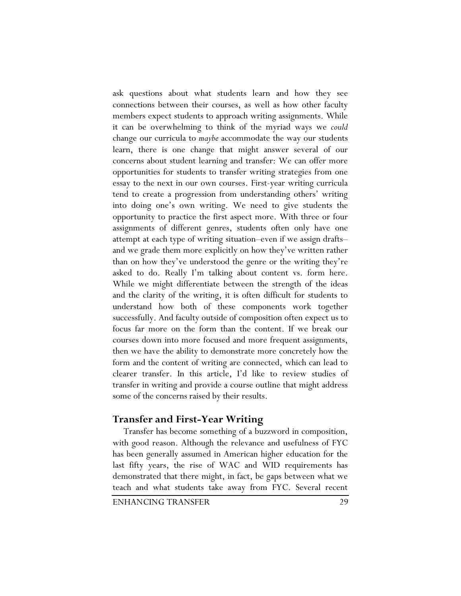ask questions about what students learn and how they see connections between their courses, as well as how other faculty members expect students to approach writing assignments. While it can be overwhelming to think of the myriad ways we *could*  change our curricula to *maybe* accommodate the way our students learn, there is one change that might answer several of our concerns about student learning and transfer: We can offer more opportunities for students to transfer writing strategies from one essay to the next in our own courses. First-year writing curricula tend to create a progression from understanding others' writing into doing one's own writing. We need to give students the opportunity to practice the first aspect more. With three or four assignments of different genres, students often only have one attempt at each type of writing situation–even if we assign drafts– and we grade them more explicitly on how they've written rather than on how they've understood the genre or the writing they're asked to do. Really I'm talking about content vs. form here. While we might differentiate between the strength of the ideas and the clarity of the writing, it is often difficult for students to understand how both of these components work together successfully. And faculty outside of composition often expect us to focus far more on the form than the content. If we break our courses down into more focused and more frequent assignments, then we have the ability to demonstrate more concretely how the form and the content of writing are connected, which can lead to clearer transfer. In this article, I'd like to review studies of transfer in writing and provide a course outline that might address some of the concerns raised by their results.

# **Transfer and First-Year Writing**

Transfer has become something of a buzzword in composition, with good reason. Although the relevance and usefulness of FYC has been generally assumed in American higher education for the last fifty years, the rise of WAC and WID requirements has demonstrated that there might, in fact, be gaps between what we teach and what students take away from FYC. Several recent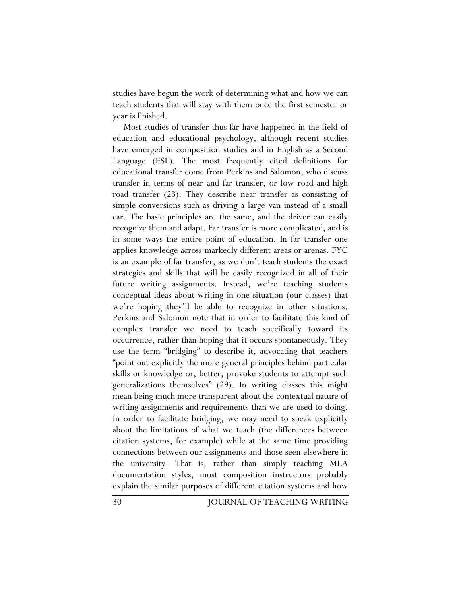studies have begun the work of determining what and how we can teach students that will stay with them once the first semester or year is finished.

Most studies of transfer thus far have happened in the field of education and educational psychology, although recent studies have emerged in composition studies and in English as a Second Language (ESL). The most frequently cited definitions for educational transfer come from Perkins and Salomon, who discuss transfer in terms of near and far transfer, or low road and high road transfer (23). They describe near transfer as consisting of simple conversions such as driving a large van instead of a small car. The basic principles are the same, and the driver can easily recognize them and adapt. Far transfer is more complicated, and is in some ways the entire point of education. In far transfer one applies knowledge across markedly different areas or arenas. FYC is an example of far transfer, as we don't teach students the exact strategies and skills that will be easily recognized in all of their future writing assignments. Instead, we're teaching students conceptual ideas about writing in one situation (our classes) that we're hoping they'll be able to recognize in other situations. Perkins and Salomon note that in order to facilitate this kind of complex transfer we need to teach specifically toward its occurrence, rather than hoping that it occurs spontaneously. They use the term "bridging" to describe it, advocating that teachers "point out explicitly the more general principles behind particular skills or knowledge or, better, provoke students to attempt such generalizations themselves" (29). In writing classes this might mean being much more transparent about the contextual nature of writing assignments and requirements than we are used to doing. In order to facilitate bridging, we may need to speak explicitly about the limitations of what we teach (the differences between citation systems, for example) while at the same time providing connections between our assignments and those seen elsewhere in the university. That is, rather than simply teaching MLA documentation styles, most composition instructors probably explain the similar purposes of different citation systems and how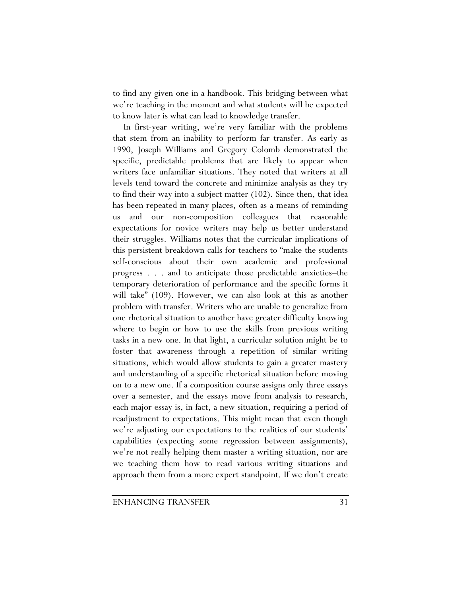to find any given one in a handbook. This bridging between what we're teaching in the moment and what students will be expected to know later is what can lead to knowledge transfer.

In first-year writing, we're very familiar with the problems that stem from an inability to perform far transfer. As early as 1990, Joseph Williams and Gregory Colomb demonstrated the specific, predictable problems that are likely to appear when writers face unfamiliar situations. They noted that writers at all levels tend toward the concrete and minimize analysis as they try to find their way into a subject matter (102). Since then, that idea has been repeated in many places, often as a means of reminding us and our non-composition colleagues that reasonable expectations for novice writers may help us better understand their struggles. Williams notes that the curricular implications of this persistent breakdown calls for teachers to "make the students self-conscious about their own academic and professional progress . . . and to anticipate those predictable anxieties–the temporary deterioration of performance and the specific forms it will take" (109). However, we can also look at this as another problem with transfer. Writers who are unable to generalize from one rhetorical situation to another have greater difficulty knowing where to begin or how to use the skills from previous writing tasks in a new one. In that light, a curricular solution might be to foster that awareness through a repetition of similar writing situations, which would allow students to gain a greater mastery and understanding of a specific rhetorical situation before moving on to a new one. If a composition course assigns only three essays over a semester, and the essays move from analysis to research, each major essay is, in fact, a new situation, requiring a period of readjustment to expectations. This might mean that even though we're adjusting our expectations to the realities of our students' capabilities (expecting some regression between assignments), we're not really helping them master a writing situation, nor are we teaching them how to read various writing situations and approach them from a more expert standpoint. If we don't create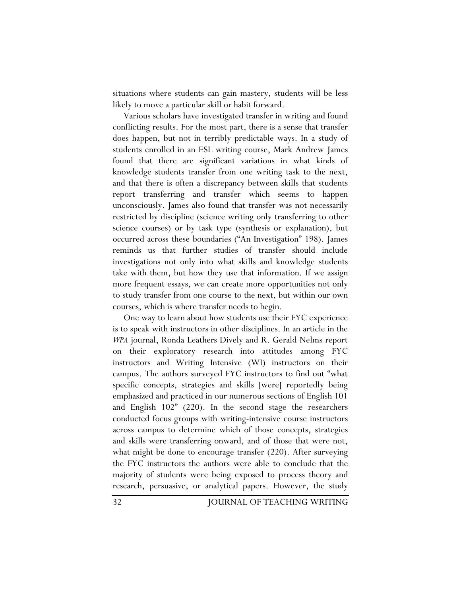situations where students can gain mastery, students will be less likely to move a particular skill or habit forward.

Various scholars have investigated transfer in writing and found conflicting results. For the most part, there is a sense that transfer does happen, but not in terribly predictable ways. In a study of students enrolled in an ESL writing course, Mark Andrew James found that there are significant variations in what kinds of knowledge students transfer from one writing task to the next, and that there is often a discrepancy between skills that students report transferring and transfer which seems to happen unconsciously. James also found that transfer was not necessarily restricted by discipline (science writing only transferring to other science courses) or by task type (synthesis or explanation), but occurred across these boundaries ("An Investigation" 198). James reminds us that further studies of transfer should include investigations not only into what skills and knowledge students take with them, but how they use that information. If we assign more frequent essays, we can create more opportunities not only to study transfer from one course to the next, but within our own courses, which is where transfer needs to begin.

One way to learn about how students use their FYC experience is to speak with instructors in other disciplines. In an article in the *WPA* journal, Ronda Leathers Dively and R. Gerald Nelms report on their exploratory research into attitudes among FYC instructors and Writing Intensive (WI) instructors on their campus. The authors surveyed FYC instructors to find out "what specific concepts, strategies and skills [were] reportedly being emphasized and practiced in our numerous sections of English 101 and English 102" (220). In the second stage the researchers conducted focus groups with writing-intensive course instructors across campus to determine which of those concepts, strategies and skills were transferring onward, and of those that were not, what might be done to encourage transfer (220). After surveying the FYC instructors the authors were able to conclude that the majority of students were being exposed to process theory and research, persuasive, or analytical papers. However, the study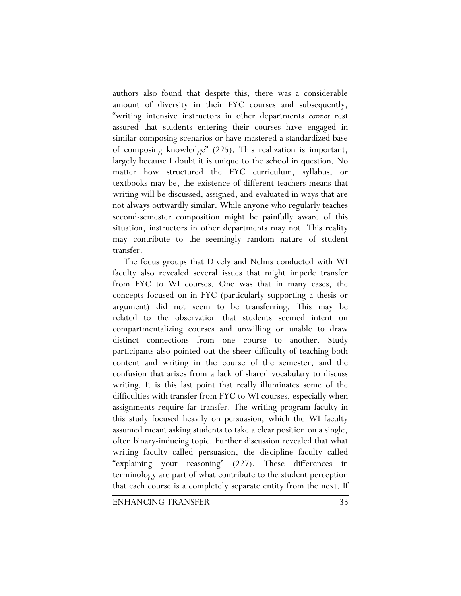authors also found that despite this, there was a considerable amount of diversity in their FYC courses and subsequently, "writing intensive instructors in other departments *cannot* rest assured that students entering their courses have engaged in similar composing scenarios or have mastered a standardized base of composing knowledge" (225). This realization is important, largely because I doubt it is unique to the school in question. No matter how structured the FYC curriculum, syllabus, or textbooks may be, the existence of different teachers means that writing will be discussed, assigned, and evaluated in ways that are not always outwardly similar. While anyone who regularly teaches second-semester composition might be painfully aware of this situation, instructors in other departments may not. This reality may contribute to the seemingly random nature of student transfer.

The focus groups that Dively and Nelms conducted with WI faculty also revealed several issues that might impede transfer from FYC to WI courses. One was that in many cases, the concepts focused on in FYC (particularly supporting a thesis or argument) did not seem to be transferring. This may be related to the observation that students seemed intent on compartmentalizing courses and unwilling or unable to draw distinct connections from one course to another. Study participants also pointed out the sheer difficulty of teaching both content and writing in the course of the semester, and the confusion that arises from a lack of shared vocabulary to discuss writing. It is this last point that really illuminates some of the difficulties with transfer from FYC to WI courses, especially when assignments require far transfer. The writing program faculty in this study focused heavily on persuasion, which the WI faculty assumed meant asking students to take a clear position on a single, often binary-inducing topic. Further discussion revealed that what writing faculty called persuasion, the discipline faculty called "explaining your reasoning" (227). These differences in terminology are part of what contribute to the student perception that each course is a completely separate entity from the next. If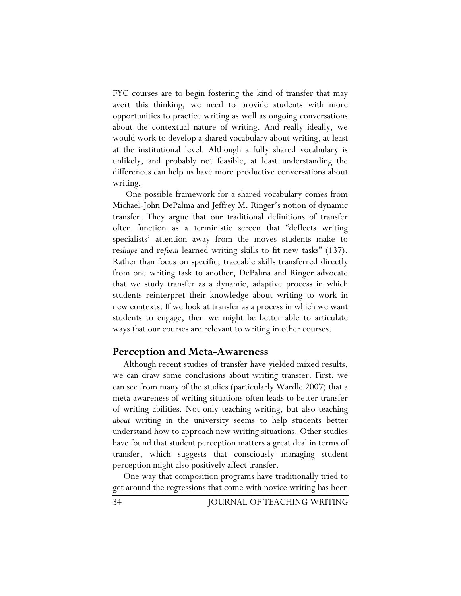FYC courses are to begin fostering the kind of transfer that may avert this thinking, we need to provide students with more opportunities to practice writing as well as ongoing conversations about the contextual nature of writing. And really ideally, we would work to develop a shared vocabulary about writing, at least at the institutional level. Although a fully shared vocabulary is unlikely, and probably not feasible, at least understanding the differences can help us have more productive conversations about writing.

 One possible framework for a shared vocabulary comes from Michael-John DePalma and Jeffrey M. Ringer's notion of dynamic transfer. They argue that our traditional definitions of transfer often function as a terministic screen that "deflects writing specialists' attention away from the moves students make to re*shape* and re*form* learned writing skills to fit new tasks" (137). Rather than focus on specific, traceable skills transferred directly from one writing task to another, DePalma and Ringer advocate that we study transfer as a dynamic, adaptive process in which students reinterpret their knowledge about writing to work in new contexts. If we look at transfer as a process in which we want students to engage, then we might be better able to articulate ways that our courses are relevant to writing in other courses.

### **Perception and Meta-Awareness**

Although recent studies of transfer have yielded mixed results, we can draw some conclusions about writing transfer. First, we can see from many of the studies (particularly Wardle 2007) that a meta-awareness of writing situations often leads to better transfer of writing abilities. Not only teaching writing, but also teaching *about* writing in the university seems to help students better understand how to approach new writing situations. Other studies have found that student perception matters a great deal in terms of transfer, which suggests that consciously managing student perception might also positively affect transfer.

One way that composition programs have traditionally tried to get around the regressions that come with novice writing has been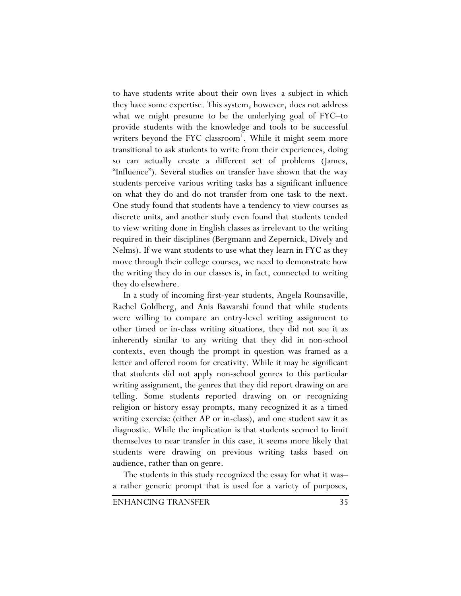to have students write about their own lives–a subject in which they have some expertise. This system, however, does not address what we might presume to be the underlying goal of FYC–to provide students with the knowledge and tools to be successful writers beyond the FYC classroom<sup>1</sup>. While it might seem more transitional to ask students to write from their experiences, doing so can actually create a different set of problems (James, "Influence"). Several studies on transfer have shown that the way students perceive various writing tasks has a significant influence on what they do and do not transfer from one task to the next. One study found that students have a tendency to view courses as discrete units, and another study even found that students tended to view writing done in English classes as irrelevant to the writing required in their disciplines (Bergmann and Zepernick, Dively and Nelms). If we want students to use what they learn in FYC as they move through their college courses, we need to demonstrate how the writing they do in our classes is, in fact, connected to writing they do elsewhere.

In a study of incoming first-year students, Angela Rounsaville, Rachel Goldberg, and Anis Bawarshi found that while students were willing to compare an entry-level writing assignment to other timed or in-class writing situations, they did not see it as inherently similar to any writing that they did in non-school contexts, even though the prompt in question was framed as a letter and offered room for creativity. While it may be significant that students did not apply non-school genres to this particular writing assignment, the genres that they did report drawing on are telling. Some students reported drawing on or recognizing religion or history essay prompts, many recognized it as a timed writing exercise (either AP or in-class), and one student saw it as diagnostic. While the implication is that students seemed to limit themselves to near transfer in this case, it seems more likely that students were drawing on previous writing tasks based on audience, rather than on genre.

The students in this study recognized the essay for what it was– a rather generic prompt that is used for a variety of purposes,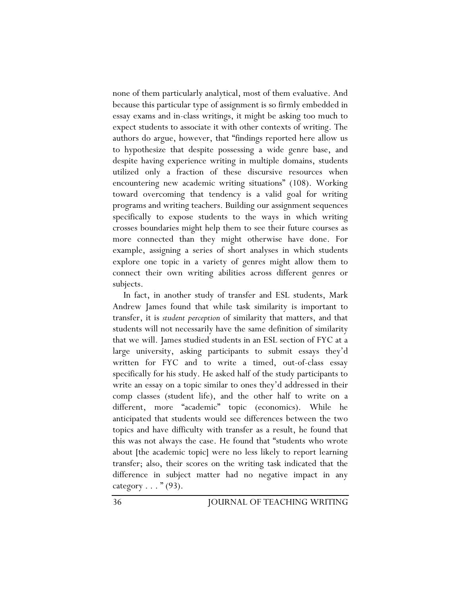none of them particularly analytical, most of them evaluative. And because this particular type of assignment is so firmly embedded in essay exams and in-class writings, it might be asking too much to expect students to associate it with other contexts of writing. The authors do argue, however, that "findings reported here allow us to hypothesize that despite possessing a wide genre base, and despite having experience writing in multiple domains, students utilized only a fraction of these discursive resources when encountering new academic writing situations" (108). Working toward overcoming that tendency is a valid goal for writing programs and writing teachers. Building our assignment sequences specifically to expose students to the ways in which writing crosses boundaries might help them to see their future courses as more connected than they might otherwise have done. For example, assigning a series of short analyses in which students explore one topic in a variety of genres might allow them to connect their own writing abilities across different genres or subjects.

In fact, in another study of transfer and ESL students, Mark Andrew James found that while task similarity is important to transfer, it is *student perception* of similarity that matters, and that students will not necessarily have the same definition of similarity that we will. James studied students in an ESL section of FYC at a large university, asking participants to submit essays they'd written for FYC and to write a timed, out-of-class essay specifically for his study. He asked half of the study participants to write an essay on a topic similar to ones they'd addressed in their comp classes (student life), and the other half to write on a different, more "academic" topic (economics). While he anticipated that students would see differences between the two topics and have difficulty with transfer as a result, he found that this was not always the case. He found that "students who wrote about [the academic topic] were no less likely to report learning transfer; also, their scores on the writing task indicated that the difference in subject matter had no negative impact in any category  $\ldots$  " (93).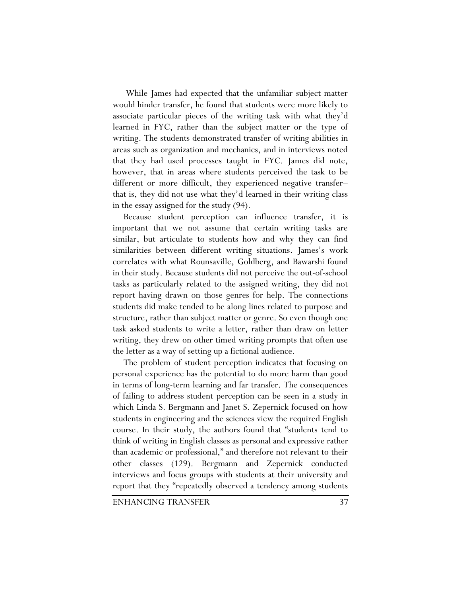While James had expected that the unfamiliar subject matter would hinder transfer, he found that students were more likely to associate particular pieces of the writing task with what they'd learned in FYC, rather than the subject matter or the type of writing. The students demonstrated transfer of writing abilities in areas such as organization and mechanics, and in interviews noted that they had used processes taught in FYC. James did note, however, that in areas where students perceived the task to be different or more difficult, they experienced negative transfer– that is, they did not use what they'd learned in their writing class in the essay assigned for the study (94).

Because student perception can influence transfer, it is important that we not assume that certain writing tasks are similar, but articulate to students how and why they can find similarities between different writing situations. James's work correlates with what Rounsaville, Goldberg, and Bawarshi found in their study. Because students did not perceive the out-of-school tasks as particularly related to the assigned writing, they did not report having drawn on those genres for help. The connections students did make tended to be along lines related to purpose and structure, rather than subject matter or genre. So even though one task asked students to write a letter, rather than draw on letter writing, they drew on other timed writing prompts that often use the letter as a way of setting up a fictional audience.

The problem of student perception indicates that focusing on personal experience has the potential to do more harm than good in terms of long-term learning and far transfer. The consequences of failing to address student perception can be seen in a study in which Linda S. Bergmann and Janet S. Zepernick focused on how students in engineering and the sciences view the required English course. In their study, the authors found that "students tend to think of writing in English classes as personal and expressive rather than academic or professional," and therefore not relevant to their other classes (129). Bergmann and Zepernick conducted interviews and focus groups with students at their university and report that they "repeatedly observed a tendency among students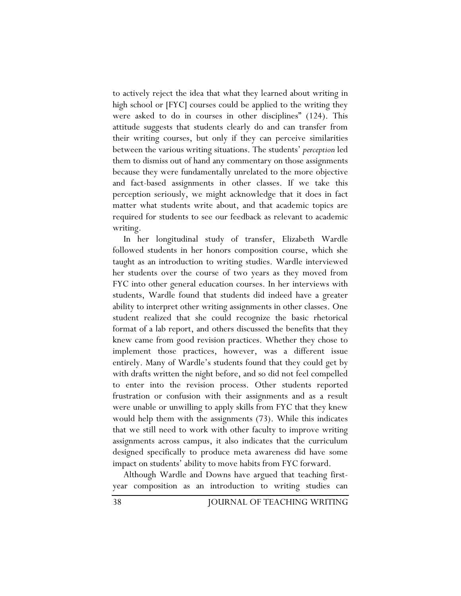to actively reject the idea that what they learned about writing in high school or [FYC] courses could be applied to the writing they were asked to do in courses in other disciplines" (124). This attitude suggests that students clearly do and can transfer from their writing courses, but only if they can perceive similarities between the various writing situations. The students' *perception* led them to dismiss out of hand any commentary on those assignments because they were fundamentally unrelated to the more objective and fact-based assignments in other classes. If we take this perception seriously, we might acknowledge that it does in fact matter what students write about, and that academic topics are required for students to see our feedback as relevant to academic writing.

In her longitudinal study of transfer, Elizabeth Wardle followed students in her honors composition course, which she taught as an introduction to writing studies. Wardle interviewed her students over the course of two years as they moved from FYC into other general education courses. In her interviews with students, Wardle found that students did indeed have a greater ability to interpret other writing assignments in other classes. One student realized that she could recognize the basic rhetorical format of a lab report, and others discussed the benefits that they knew came from good revision practices. Whether they chose to implement those practices, however, was a different issue entirely. Many of Wardle's students found that they could get by with drafts written the night before, and so did not feel compelled to enter into the revision process. Other students reported frustration or confusion with their assignments and as a result were unable or unwilling to apply skills from FYC that they knew would help them with the assignments (73). While this indicates that we still need to work with other faculty to improve writing assignments across campus, it also indicates that the curriculum designed specifically to produce meta awareness did have some impact on students' ability to move habits from FYC forward.

Although Wardle and Downs have argued that teaching firstyear composition as an introduction to writing studies can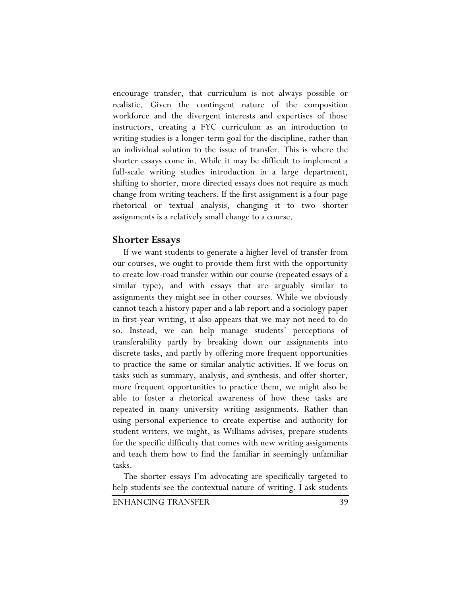encourage transfer, that curriculum is not always possible or realistic. Given the contingent nature of the composition workforce and the divergent interests and expertises of those instructors, creating a FYC curriculum as an introduction to writing studies is a longer-term goal for the discipline, rather than an individual solution to the issue of transfer. This is where the shorter essays come in. While it may be difficult to implement a full-scale writing studies introduction in a large department, shifting to shorter, more directed essays does not require as much change from writing teachers. If the first assignment is a four-page rhetorical or textual analysis, changing it to two shorter assignments is a relatively small change to a course.

## **Shorter Essays**

If we want students to generate a higher level of transfer from our courses, we ought to provide them first with the opportunity to create low-road transfer within our course (repeated essays of a similar type), and with essays that are arguably similar to assignments they might see in other courses. While we obviously cannot teach a history paper and a lab report and a sociology paper in first-year writing, it also appears that we may not need to do so. Instead, we can help manage students' perceptions of transferability partly by breaking down our assignments into discrete tasks, and partly by offering more frequent opportunities to practice the same or similar analytic activities. If we focus on tasks such as summary, analysis, and synthesis, and offer shorter, more frequent opportunities to practice them, we might also be able to foster a rhetorical awareness of how these tasks are repeated in many university writing assignments. Rather than using personal experience to create expertise and authority for student writers, we might, as Williams advises, prepare students for the specific difficulty that comes with new writing assignments and teach them how to find the familiar in seemingly unfamiliar tasks.

The shorter essays I'm advocating are specifically targeted to help students see the contextual nature of writing. I ask students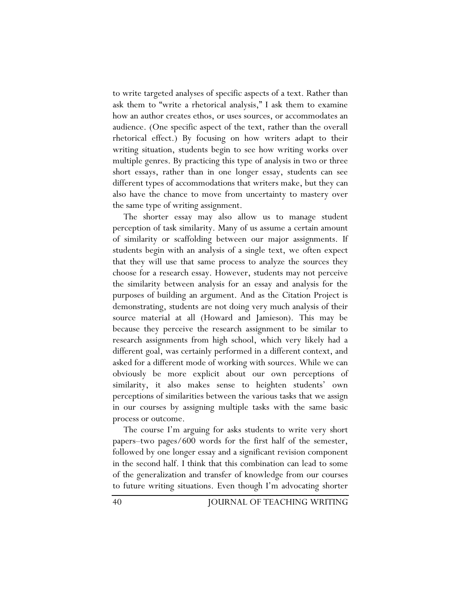to write targeted analyses of specific aspects of a text. Rather than ask them to "write a rhetorical analysis," I ask them to examine how an author creates ethos, or uses sources, or accommodates an audience. (One specific aspect of the text, rather than the overall rhetorical effect.) By focusing on how writers adapt to their writing situation, students begin to see how writing works over multiple genres. By practicing this type of analysis in two or three short essays, rather than in one longer essay, students can see different types of accommodations that writers make, but they can also have the chance to move from uncertainty to mastery over the same type of writing assignment.

The shorter essay may also allow us to manage student perception of task similarity. Many of us assume a certain amount of similarity or scaffolding between our major assignments. If students begin with an analysis of a single text, we often expect that they will use that same process to analyze the sources they choose for a research essay. However, students may not perceive the similarity between analysis for an essay and analysis for the purposes of building an argument. And as the Citation Project is demonstrating, students are not doing very much analysis of their source material at all (Howard and Jamieson). This may be because they perceive the research assignment to be similar to research assignments from high school, which very likely had a different goal, was certainly performed in a different context, and asked for a different mode of working with sources. While we can obviously be more explicit about our own perceptions of similarity, it also makes sense to heighten students' own perceptions of similarities between the various tasks that we assign in our courses by assigning multiple tasks with the same basic process or outcome.

The course I'm arguing for asks students to write very short papers–two pages/600 words for the first half of the semester, followed by one longer essay and a significant revision component in the second half. I think that this combination can lead to some of the generalization and transfer of knowledge from our courses to future writing situations. Even though I'm advocating shorter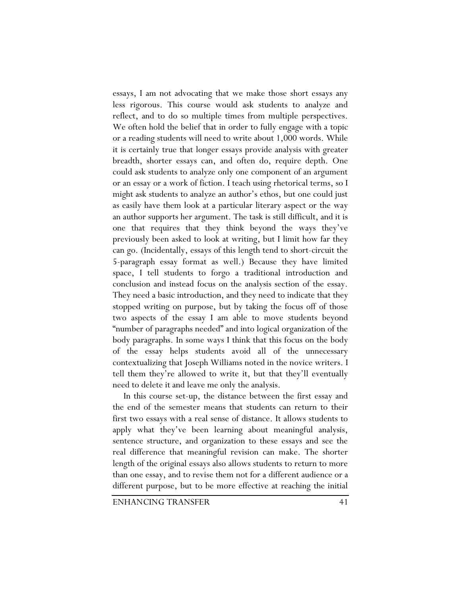essays, I am not advocating that we make those short essays any less rigorous. This course would ask students to analyze and reflect, and to do so multiple times from multiple perspectives. We often hold the belief that in order to fully engage with a topic or a reading students will need to write about 1,000 words. While it is certainly true that longer essays provide analysis with greater breadth, shorter essays can, and often do, require depth. One could ask students to analyze only one component of an argument or an essay or a work of fiction. I teach using rhetorical terms, so I might ask students to analyze an author's ethos, but one could just as easily have them look at a particular literary aspect or the way an author supports her argument. The task is still difficult, and it is one that requires that they think beyond the ways they've previously been asked to look at writing, but I limit how far they can go. (Incidentally, essays of this length tend to short-circuit the 5-paragraph essay format as well.) Because they have limited space, I tell students to forgo a traditional introduction and conclusion and instead focus on the analysis section of the essay. They need a basic introduction, and they need to indicate that they stopped writing on purpose, but by taking the focus off of those two aspects of the essay I am able to move students beyond "number of paragraphs needed" and into logical organization of the body paragraphs. In some ways I think that this focus on the body of the essay helps students avoid all of the unnecessary contextualizing that Joseph Williams noted in the novice writers. I tell them they're allowed to write it, but that they'll eventually need to delete it and leave me only the analysis.

In this course set-up, the distance between the first essay and the end of the semester means that students can return to their first two essays with a real sense of distance. It allows students to apply what they've been learning about meaningful analysis, sentence structure, and organization to these essays and see the real difference that meaningful revision can make. The shorter length of the original essays also allows students to return to more than one essay, and to revise them not for a different audience or a different purpose, but to be more effective at reaching the initial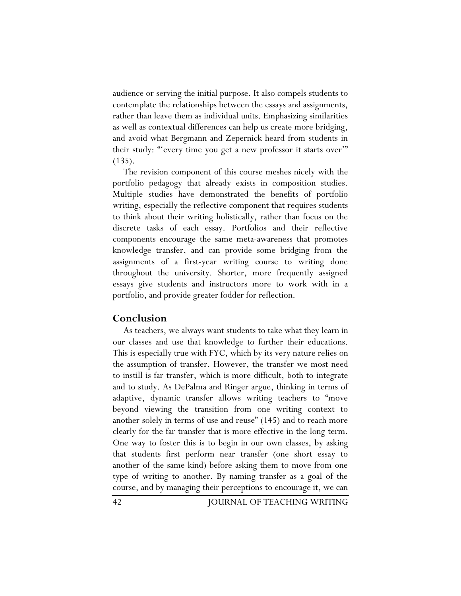audience or serving the initial purpose. It also compels students to contemplate the relationships between the essays and assignments, rather than leave them as individual units. Emphasizing similarities as well as contextual differences can help us create more bridging, and avoid what Bergmann and Zepernick heard from students in their study: "'every time you get a new professor it starts over'" (135).

The revision component of this course meshes nicely with the portfolio pedagogy that already exists in composition studies. Multiple studies have demonstrated the benefits of portfolio writing, especially the reflective component that requires students to think about their writing holistically, rather than focus on the discrete tasks of each essay. Portfolios and their reflective components encourage the same meta-awareness that promotes knowledge transfer, and can provide some bridging from the assignments of a first-year writing course to writing done throughout the university. Shorter, more frequently assigned essays give students and instructors more to work with in a portfolio, and provide greater fodder for reflection.

## **Conclusion**

As teachers, we always want students to take what they learn in our classes and use that knowledge to further their educations. This is especially true with FYC, which by its very nature relies on the assumption of transfer. However, the transfer we most need to instill is far transfer, which is more difficult, both to integrate and to study. As DePalma and Ringer argue, thinking in terms of adaptive, dynamic transfer allows writing teachers to "move beyond viewing the transition from one writing context to another solely in terms of use and reuse" (145) and to reach more clearly for the far transfer that is more effective in the long term. One way to foster this is to begin in our own classes, by asking that students first perform near transfer (one short essay to another of the same kind) before asking them to move from one type of writing to another. By naming transfer as a goal of the course, and by managing their perceptions to encourage it, we can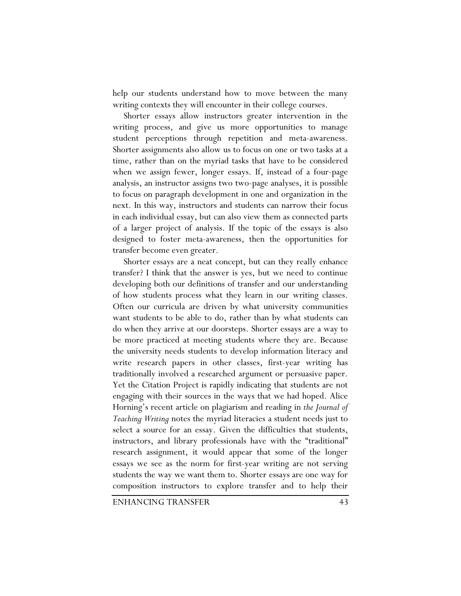help our students understand how to move between the many writing contexts they will encounter in their college courses.

Shorter essays allow instructors greater intervention in the writing process, and give us more opportunities to manage student perceptions through repetition and meta-awareness. Shorter assignments also allow us to focus on one or two tasks at a time, rather than on the myriad tasks that have to be considered when we assign fewer, longer essays. If, instead of a four-page analysis, an instructor assigns two two-page analyses, it is possible to focus on paragraph development in one and organization in the next. In this way, instructors and students can narrow their focus in each individual essay, but can also view them as connected parts of a larger project of analysis. If the topic of the essays is also designed to foster meta-awareness, then the opportunities for transfer become even greater.

Shorter essays are a neat concept, but can they really enhance transfer? I think that the answer is yes, but we need to continue developing both our definitions of transfer and our understanding of how students process what they learn in our writing classes. Often our curricula are driven by what university communities want students to be able to do, rather than by what students can do when they arrive at our doorsteps. Shorter essays are a way to be more practiced at meeting students where they are. Because the university needs students to develop information literacy and write research papers in other classes, first-year writing has traditionally involved a researched argument or persuasive paper. Yet the Citation Project is rapidly indicating that students are not engaging with their sources in the ways that we had hoped. Alice Horning's recent article on plagiarism and reading in *the Journal of Teaching Writing* notes the myriad literacies a student needs just to select a source for an essay. Given the difficulties that students, instructors, and library professionals have with the "traditional" research assignment, it would appear that some of the longer essays we see as the norm for first-year writing are not serving students the way we want them to. Shorter essays are one way for composition instructors to explore transfer and to help their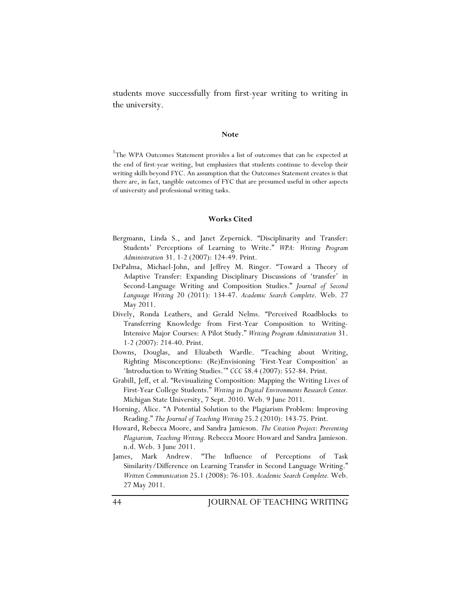students move successfully from first-year writing to writing in the university.

#### **Note**

<sup>1</sup>The WPA Outcomes Statement provides a list of outcomes that can be expected at the end of first-year writing, but emphasizes that students continue to develop their writing skills beyond FYC. An assumption that the Outcomes Statement creates is that there are, in fact, tangible outcomes of FYC that are presumed useful in other aspects of university and professional writing tasks.

#### **Works Cited**

- Bergmann, Linda S., and Janet Zepernick. "Disciplinarity and Transfer: Students' Perceptions of Learning to Write." *WPA: Writing Program Administration* 31. 1-2 (2007): 124-49. Print.
- DePalma, Michael-John, and Jeffrey M. Ringer. "Toward a Theory of Adaptive Transfer: Expanding Disciplinary Discussions of 'transfer' in Second-Language Writing and Composition Studies." *Journal of Second Language Writing* 20 (2011): 134-47. *Academic Search Complete*. Web. 27 May 2011.
- Dively, Ronda Leathers, and Gerald Nelms. "Perceived Roadblocks to Transferring Knowledge from First-Year Composition to Writing-Intensive Major Courses: A Pilot Study." *Writing Program Administration* 31. 1-2 (2007): 214-40. Print.
- Downs, Douglas, and Elizabeth Wardle. "Teaching about Writing, Righting Misconceptions: (Re)Envisioning 'First-Year Composition' as 'Introduction to Writing Studies.'" *CCC* 58.4 (2007): 552-84. Print.
- Grabill, Jeff, et al. "Revisualizing Composition: Mapping the Writing Lives of First-Year College Students." *Writing in Digital Environments Research Center.*  Michigan State University, 7 Sept. 2010. Web. 9 June 2011.
- Horning, Alice. "A Potential Solution to the Plagiarism Problem: Improving Reading." *The Journal of Teaching Writing* 25.2 (2010): 143-75. Print.
- Howard, Rebecca Moore, and Sandra Jamieson. *The Citation Project*: *Preventing Plagiarism, Teaching Writing.* Rebecca Moore Howard and Sandra Jamieson. n.d. Web. 3 June 2011.
- James, Mark Andrew. "The Influence of Perceptions of Task Similarity/Difference on Learning Transfer in Second Language Writing." *Written Communication* 25.1 (2008): 76-103. *Academic Search Complete.* Web. 27 May 2011.